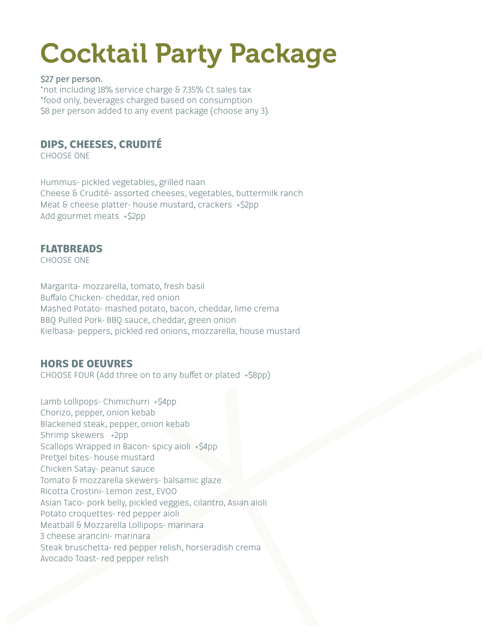# Cocktail Party Package

#### **\$27 per person.**

\*not including 18% service charge & 7.35% Ct sales tax \*food only, beverages charged based on consumption \$8 per person added to any event package (choose any 3).

# **DIPS, CHEESES, CRUDITÉ**

CHOOSE ONE

Hummus- pickled vegetables, grilled naan Cheese & Crudité- assorted cheeses, vegetables, buttermilk ranch Meat & cheese platter- house mustard, crackers +\$2pp Add gourmet meats +\$2pp

## **FLATBREADS**

CHOOSE ONE

Margarita- mozzarella, tomato, fresh basil Buffalo Chicken- cheddar, red onion Mashed Potato- mashed potato, bacon, cheddar, lime crema BBQ Pulled Pork- BBQ sauce, cheddar, green onion Kielbasa- peppers, pickled red onions, mozzarella, house mustard

## **HORS DE OEUVRES**

CHOOSE FOUR (Add three on to any buffet or plated  $+$ \$8pp)

Lamb Lollipops- Chimichurri +\$4pp Chorizo, pepper, onion kebab Blackened steak, pepper, onion kebab Shrimp skewers +2pp Scallops Wrapped in Bacon- spicy aioli +\$4pp Pretzel bites- house mustard Chicken Satay- peanut sauce Tomato & mozzarella skewers- balsamic glaze Ricotta Crostini- Lemon zest, EVOO Asian Taco- pork belly, pickled veggies, cilantro, Asian aioli Potato croquettes- red pepper aioli Meatball & Mozzarella Lollipops- marinara 3 cheese arancini- marinara Steak bruschetta- red pepper relish, horseradish crema Avocado Toast- red pepper relish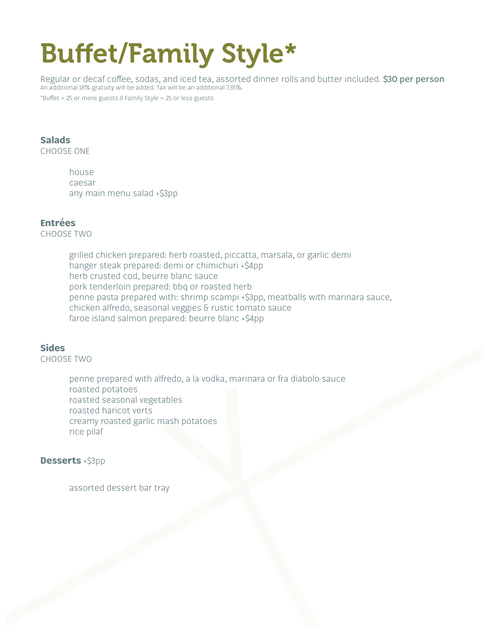# Buffet/Family Style\*

Regular or decaf co!ee, sodas, and iced tea, assorted dinner rolls and butter included. **\$30 per person** An additional 18% gratuity will be added. Tax will be an additional 7.35%.

 $*$ Buffet = 25 or more guests // Family Style = 25 or less guests

### **Salads**

CHOOSE ONE

house caesar any main menu salad +\$3pp

### **Entrées**

CHOOSE TWO

grilled chicken prepared: herb roasted, piccatta, marsala, or garlic demi hanger steak prepared: demi or chimichuri +\$4pp herb crusted cod, beurre blanc sauce pork tenderloin prepared: bbq or roasted herb penne pasta prepared with: shrimp scampi +\$3pp, meatballs with marinara sauce, chicken alfredo, seasonal veggies & rustic tomato sauce faroe island salmon prepared: beurre blanc +\$4pp

#### **Sides**

CHOOSE TWO

penne prepared with alfredo, a la vodka, marinara or fra diabolo sauce roasted potatoes roasted seasonal vegetables roasted haricot verts creamy roasted garlic mash potatoes rice pilaf

#### **Desserts** +\$3pp

assorted dessert bar tray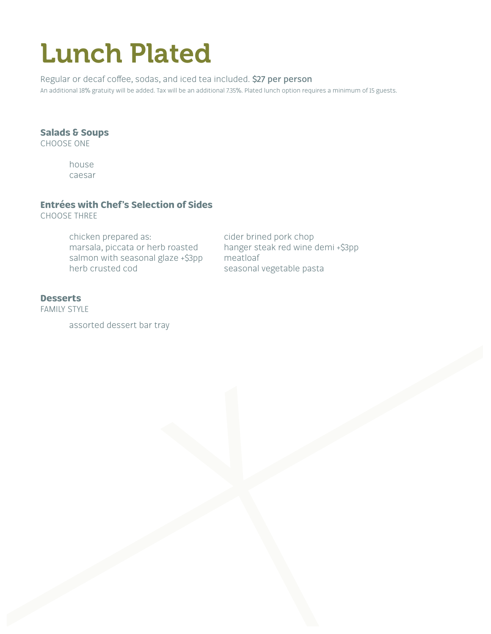# Lunch Plated

Regular or decaf coffee, sodas, and iced tea included. \$27 per person An additional 18% gratuity will be added. Tax will be an additional 7.35%. Plated lunch option requires a minimum of 15 guests.

#### **Salads & Soups**

CHOOSE ONE

house caesar

## **Entrées with Chef's Selection of Sides**

CHOOSE THREE

chicken prepared as: cider brined pork chop marsala, piccata or herb roasted hanger steak red wine demi +\$3pp salmon with seasonal glaze +\$3pp meatloaf herb crusted cod seasonal vegetable pasta

#### **Desserts**

FAMILY STYLE

assorted dessert bar tray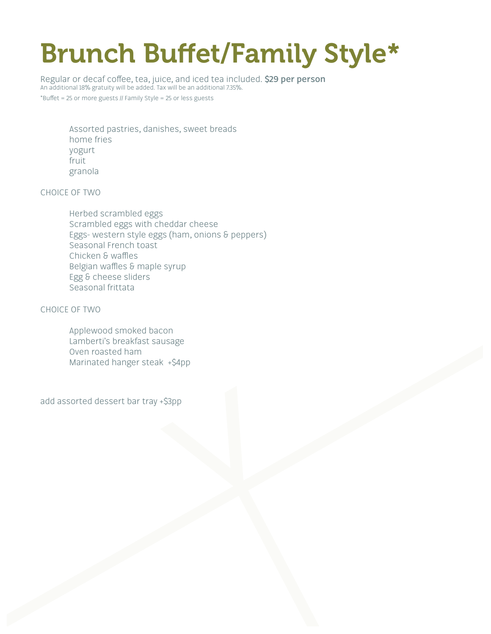# Brunch Buffet/Family Style\*

Regular or decaf co!ee, tea, juice, and iced tea included. **\$29 per person** An additional 18% gratuity will be added. Tax will be an additional 7.35%.  $*$ Buffet = 25 or more guests // Family Style = 25 or less guests

Assorted pastries, danishes, sweet breads home fries yogurt fruit granola

CHOICE OF TWO

Herbed scrambled eggs Scrambled eggs with cheddar cheese Eggs- western style eggs (ham, onions & peppers) Seasonal French toast Chicken & waffles Belgian waffles & maple syrup Egg & cheese sliders Seasonal frittata

CHOICE OF TWO

Applewood smoked bacon Lamberti's breakfast sausage Oven roasted ham Marinated hanger steak +\$4pp

add assorted dessert bar tray +\$3pp